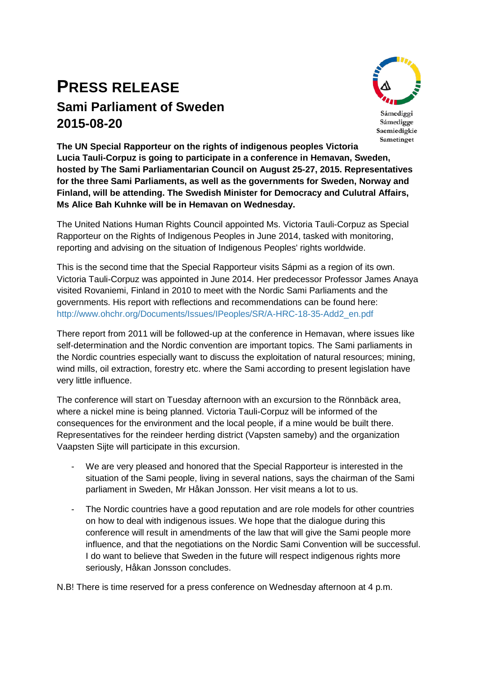# **PRESS RELEASE Sami Parliament of Sweden 2015-08-20**



Sámediggi Sámedigge Saemiedigkie Sametinget

**The UN Special Rapporteur on the rights of indigenous peoples Victoria Lucia Tauli-Corpuz is going to participate in a conference in Hemavan, Sweden, hosted by The Sami Parliamentarian Council on August 25-27, 2015. Representatives for the three Sami Parliaments, as well as the governments for Sweden, Norway and Finland, will be attending. The Swedish Minister for Democracy and Culutral Affairs, Ms Alice Bah Kuhnke will be in Hemavan on Wednesday.**

The United Nations Human Rights Council appointed Ms. Victoria Tauli-Corpuz as Special Rapporteur on the Rights of Indigenous Peoples in June 2014, tasked with monitoring, reporting and advising on the situation of Indigenous Peoples' rights worldwide.

This is the second time that the Special Rapporteur visits Sápmi as a region of its own. Victoria Tauli-Corpuz was appointed in June 2014. Her predecessor Professor James Anaya visited Rovaniemi, Finland in 2010 to meet with the Nordic Sami Parliaments and the governments. His report with reflections and recommendations can be found here: [http://www.ohchr.org/Documents/Issues/IPeoples/SR/A-HRC-18-35-Add2\\_en.pdf](http://www.ohchr.org/Documents/Issues/IPeoples/SR/A-HRC-18-35-Add2_en.pdf)

There report from 2011 will be followed-up at the conference in Hemavan, where issues like self-determination and the Nordic convention are important topics. The Sami parliaments in the Nordic countries especially want to discuss the exploitation of natural resources; mining, wind mills, oil extraction, forestry etc. where the Sami according to present legislation have very little influence.

The conference will start on Tuesday afternoon with an excursion to the Rönnbäck area, where a nickel mine is being planned. Victoria Tauli-Corpuz will be informed of the consequences for the environment and the local people, if a mine would be built there. Representatives for the reindeer herding district (Vapsten sameby) and the organization Vaapsten Sijte will participate in this excursion.

- We are very pleased and honored that the Special Rapporteur is interested in the situation of the Sami people, living in several nations, says the chairman of the Sami parliament in Sweden, Mr Håkan Jonsson. Her visit means a lot to us.
- The Nordic countries have a good reputation and are role models for other countries on how to deal with indigenous issues. We hope that the dialogue during this conference will result in amendments of the law that will give the Sami people more influence, and that the negotiations on the Nordic Sami Convention will be successful. I do want to believe that Sweden in the future will respect indigenous rights more seriously, Håkan Jonsson concludes.

N.B! There is time reserved for a press conference on Wednesday afternoon at 4 p.m.